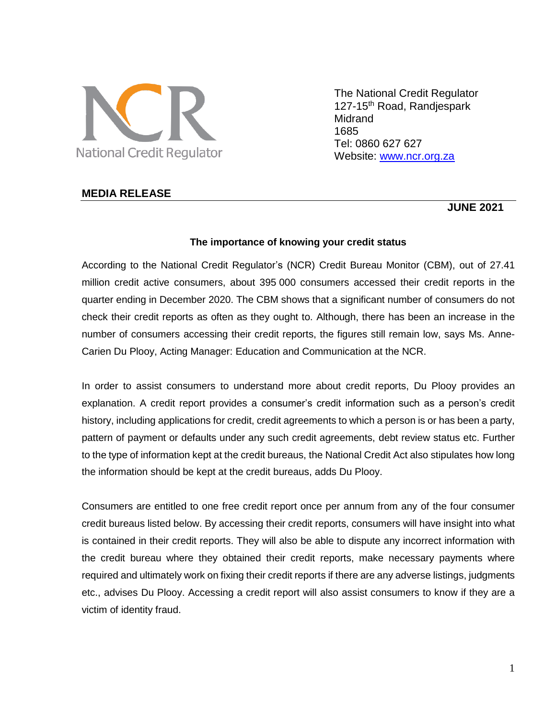

The National Credit Regulator 127-15<sup>th</sup> Road, Randjespark Midrand 1685 Tel: 0860 627 627 Website: [www.ncr.org.za](http://www.ncr.org.za/)

## **MEDIA RELEASE**

# **JUNE 2021**

### **The importance of knowing your credit status**

According to the National Credit Regulator's (NCR) Credit Bureau Monitor (CBM), out of 27.41 million credit active consumers, about 395 000 consumers accessed their credit reports in the quarter ending in December 2020. The CBM shows that a significant number of consumers do not check their credit reports as often as they ought to. Although, there has been an increase in the number of consumers accessing their credit reports, the figures still remain low, says Ms. Anne-Carien Du Plooy, Acting Manager: Education and Communication at the NCR.

In order to assist consumers to understand more about credit reports, Du Plooy provides an explanation. A credit report provides a consumer's credit information such as a person's credit history, including applications for credit, credit agreements to which a person is or has been a party, pattern of payment or defaults under any such credit agreements, debt review status etc. Further to the type of information kept at the credit bureaus, the National Credit Act also stipulates how long the information should be kept at the credit bureaus, adds Du Plooy.

Consumers are entitled to one free credit report once per annum from any of the four consumer credit bureaus listed below. By accessing their credit reports, consumers will have insight into what is contained in their credit reports. They will also be able to dispute any incorrect information with the credit bureau where they obtained their credit reports, make necessary payments where required and ultimately work on fixing their credit reports if there are any adverse listings, judgments etc., advises Du Plooy. Accessing a credit report will also assist consumers to know if they are a victim of identity fraud.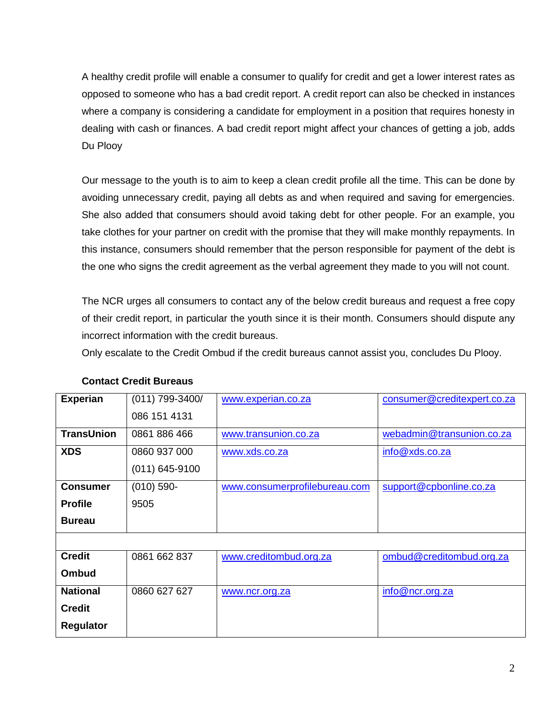A healthy credit profile will enable a consumer to qualify for credit and get a lower interest rates as opposed to someone who has a bad credit report. A credit report can also be checked in instances where a company is considering a candidate for employment in a position that requires honesty in dealing with cash or finances. A bad credit report might affect your chances of getting a job, adds Du Plooy

Our message to the youth is to aim to keep a clean credit profile all the time. This can be done by avoiding unnecessary credit, paying all debts as and when required and saving for emergencies. She also added that consumers should avoid taking debt for other people. For an example, you take clothes for your partner on credit with the promise that they will make monthly repayments. In this instance, consumers should remember that the person responsible for payment of the debt is the one who signs the credit agreement as the verbal agreement they made to you will not count.

The NCR urges all consumers to contact any of the below credit bureaus and request a free copy of their credit report, in particular the youth since it is their month. Consumers should dispute any incorrect information with the credit bureaus.

Only escalate to the Credit Ombud if the credit bureaus cannot assist you, concludes Du Plooy.

| <b>Experian</b>   | (011) 799-3400/ | www.experian.co.za            | consumer@creditexpert.co.za |
|-------------------|-----------------|-------------------------------|-----------------------------|
|                   | 086 151 4131    |                               |                             |
| <b>TransUnion</b> | 0861 886 466    | www.transunion.co.za          | webadmin@transunion.co.za   |
| <b>XDS</b>        | 0860 937 000    | www.xds.co.za                 | info@xds.co.za              |
|                   | (011) 645-9100  |                               |                             |
| <b>Consumer</b>   | $(010)$ 590-    | www.consumerprofilebureau.com | support@cpbonline.co.za     |
| <b>Profile</b>    | 9505            |                               |                             |
| <b>Bureau</b>     |                 |                               |                             |
|                   |                 |                               |                             |
| <b>Credit</b>     | 0861 662 837    | www.creditombud.org.za        | ombud@creditombud.org.za    |
| <b>Ombud</b>      |                 |                               |                             |
| <b>National</b>   | 0860 627 627    | www.ncr.org.za                | info@ncr.org.za             |
| <b>Credit</b>     |                 |                               |                             |
| <b>Regulator</b>  |                 |                               |                             |

# **Contact Credit Bureaus**